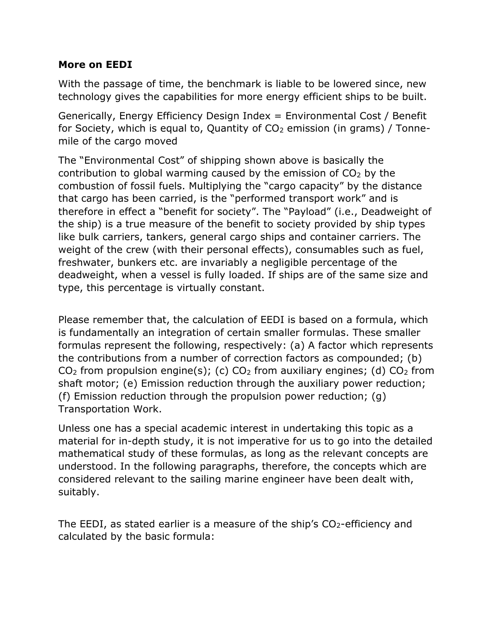## **More on EEDI**

With the passage of time, the benchmark is liable to be lowered since, new technology gives the capabilities for more energy efficient ships to be built.

Generically, Energy Efficiency Design Index = Environmental Cost / Benefit for Society, which is equal to, Quantity of CO<sub>2</sub> emission (in grams) / Tonnemile of the cargo moved

The "Environmental Cost" of shipping shown above is basically the contribution to global warming caused by the emission of  $CO<sub>2</sub>$  by the combustion of fossil fuels. Multiplying the "cargo capacity" by the distance that cargo has been carried, is the "performed transport work" and is therefore in effect a "benefit for society". The "Payload" (i.e., Deadweight of the ship) is a true measure of the benefit to society provided by ship types like bulk carriers, tankers, general cargo ships and container carriers. The weight of the crew (with their personal effects), consumables such as fuel, freshwater, bunkers etc. are invariably a negligible percentage of the deadweight, when a vessel is fully loaded. If ships are of the same size and type, this percentage is virtually constant.

Please remember that, the calculation of EEDI is based on a formula, which is fundamentally an integration of certain smaller formulas. These smaller formulas represent the following, respectively: (a) A factor which represents the contributions from a number of correction factors as compounded; (b)  $CO<sub>2</sub>$  from propulsion engine(s); (c)  $CO<sub>2</sub>$  from auxiliary engines; (d)  $CO<sub>2</sub>$  from shaft motor; (e) Emission reduction through the auxiliary power reduction; (f) Emission reduction through the propulsion power reduction; (g) Transportation Work.

Unless one has a special academic interest in undertaking this topic as a material for in-depth study, it is not imperative for us to go into the detailed mathematical study of these formulas, as long as the relevant concepts are understood. In the following paragraphs, therefore, the concepts which are considered relevant to the sailing marine engineer have been dealt with, suitably.

The EEDI, as stated earlier is a measure of the ship's  $CO<sub>2</sub>$ -efficiency and calculated by the basic formula: